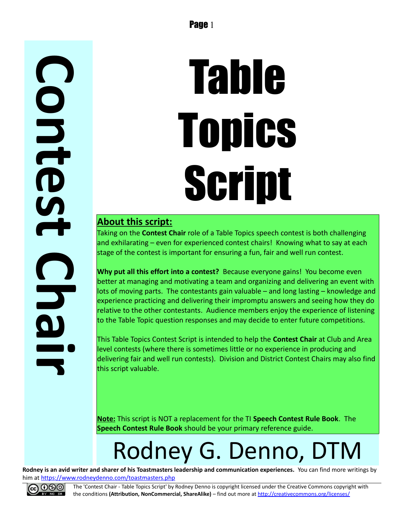## **C o n t e s t C h a i r**

# Table **Topics** Script

#### **About this script:**

Taking on the **Contest Chair** role of a Table Topics speech contest is both challenging and exhilarating – even for experienced contest chairs! Knowing what to say at each stage of the contest is important for ensuring a fun, fair and well run contest.

**Why put all this effort into a contest?** Because everyone gains! You become even better at managing and motivating a team and organizing and delivering an event with lots of moving parts. The contestants gain valuable – and long lasting – knowledge and experience practicing and delivering their impromptu answers and seeing how they do relative to the other contestants. Audience members enjoy the experience of listening to the Table Topic question responses and may decide to enter future competitions.

This Table Topics Contest Script is intended to help the **Contest Chair** at Club and Area level contests (where there is sometimes little or no experience in producing and delivering fair and well run contests). Division and District Contest Chairs may also find this script valuable.

**Note:** This script is NOT a replacement for the TI **Speech Contest Rule Book**. The **Speech Contest Rule Book** should be your primary reference guide.

## Rodney G. Denno, DTM

**Rodney is an avid writer and sharer of his Toastmasters leadership and communication experiences.** You can find more writings by him at<https://www.rodneydenno.com/toastmasters.php>



The 'Contest Chair - Table Topics Script' by Rodney Denno is copyright licensed under the Creative Commons copyright with the conditions **(Attribution, NonCommercial, ShareAlike)** – find out more at<http://creativecommons.org/licenses/>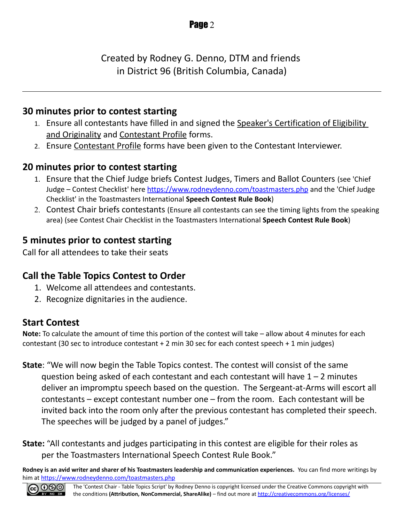Created by Rodney G. Denno, DTM and friends in District 96 (British Columbia, Canada)

#### **30 minutes prior to contest starting**

- 1. Ensure all contestants have filled in and signed the Speaker's Certification of Eligibility and Originality and Contestant Profile forms.
- 2. Ensure Contestant Profile forms have been given to the Contestant Interviewer.

#### **20 minutes prior to contest starting**

- 1. Ensure that the Chief Judge briefs Contest Judges, Timers and Ballot Counters (see 'Chief Judge – Contest Checklist' here<https://www.rodneydenno.com/toastmasters.php>and the 'Chief Judge Checklist' in the Toastmasters International **Speech Contest Rule Book**)
- 2. Contest Chair briefs contestants (Ensure all contestants can see the timing lights from the speaking area) (see Contest Chair Checklist in the Toastmasters International **Speech Contest Rule Book**)

#### **5 minutes prior to contest starting**

Call for all attendees to take their seats

#### **Call the Table Topics Contest to Order**

- 1. Welcome all attendees and contestants.
- 2. Recognize dignitaries in the audience.

#### **Start Contest**

**Note:** To calculate the amount of time this portion of the contest will take – allow about 4 minutes for each contestant (30 sec to introduce contestant + 2 min 30 sec for each contest speech + 1 min judges)

**State**: "We will now begin the Table Topics contest. The contest will consist of the same question being asked of each contestant and each contestant will have  $1 - 2$  minutes deliver an impromptu speech based on the question. The Sergeant-at-Arms will escort all contestants – except contestant number one – from the room. Each contestant will be invited back into the room only after the previous contestant has completed their speech. The speeches will be judged by a panel of judges."

**State:** "All contestants and judges participating in this contest are eligible for their roles as per the Toastmasters International Speech Contest Rule Book."

**Rodney is an avid writer and sharer of his Toastmasters leadership and communication experiences.** You can find more writings by him at<https://www.rodneydenno.com/toastmasters.php>

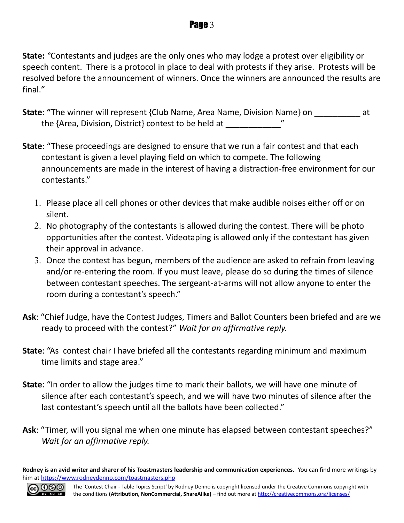**State:** *"*Contestants and judges are the only ones who may lodge a protest over eligibility or speech content. There is a protocol in place to deal with protests if they arise. Protests will be resolved before the announcement of winners. Once the winners are announced the results are final.*"*

- **State: "**The winner will represent {Club Name, Area Name, Division Name} on  $\qquad$  at the {Area, Division, District} contest to be held at
- **State**: "These proceedings are designed to ensure that we run a fair contest and that each contestant is given a level playing field on which to compete. The following announcements are made in the interest of having a distraction-free environment for our contestants."
	- 1. Please place all cell phones or other devices that make audible noises either off or on silent.
	- 2. No photography of the contestants is allowed during the contest. There will be photo opportunities after the contest. Videotaping is allowed only if the contestant has given their approval in advance.
	- 3. Once the contest has begun, members of the audience are asked to refrain from leaving and/or re-entering the room. If you must leave, please do so during the times of silence between contestant speeches. The sergeant-at-arms will not allow anyone to enter the room during a contestant's speech."
- **Ask**: "Chief Judge, have the Contest Judges, Timers and Ballot Counters been briefed and are we ready to proceed with the contest?" *Wait for an affirmative reply.*
- **State**: "As contest chair I have briefed all the contestants regarding minimum and maximum time limits and stage area."
- **State**: "In order to allow the judges time to mark their ballots, we will have one minute of silence after each contestant's speech, and we will have two minutes of silence after the last contestant's speech until all the ballots have been collected."
- **Ask**: "Timer, will you signal me when one minute has elapsed between contestant speeches?" *Wait for an affirmative reply.*

**Rodney is an avid writer and sharer of his Toastmasters leadership and communication experiences.** You can find more writings by him at<https://www.rodneydenno.com/toastmasters.php>

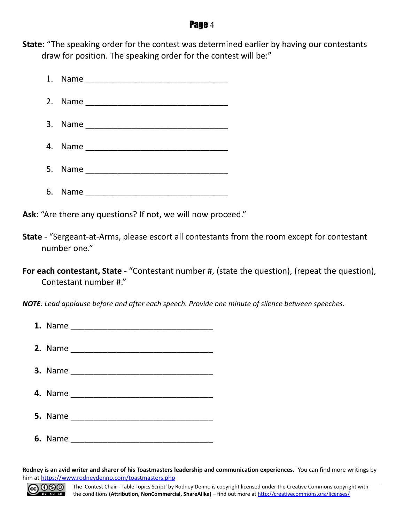**State**: "The speaking order for the contest was determined earlier by having our contestants draw for position. The speaking order for the contest will be:"



**Ask**: "Are there any questions? If not, we will now proceed."

- **State** "Sergeant-at-Arms, please escort all contestants from the room except for contestant number one."
- **For each contestant, State** "Contestant number #, (state the question), (repeat the question), Contestant number #."

*NOTE: Lead applause before and after each speech. Provide one minute of silence between speeches.*

**Rodney is an avid writer and sharer of his Toastmasters leadership and communication experiences.** You can find more writings by him at<https://www.rodneydenno.com/toastmasters.php>

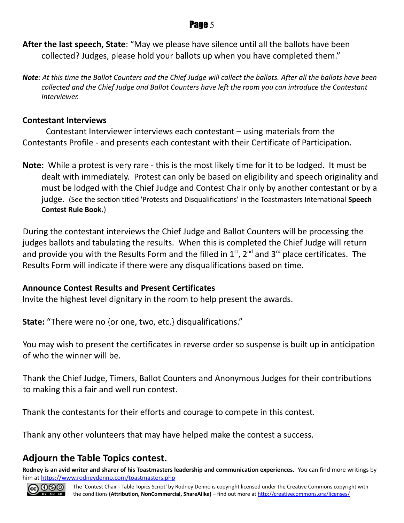**After the last speech, State**: "May we please have silence until all the ballots have been collected? Judges, please hold your ballots up when you have completed them."

*Note: At this time the Ballot Counters and the Chief Judge will collect the ballots. After all the ballots have been collected and the Chief Judge and Ballot Counters have left the room you can introduce the Contestant Interviewer.*

#### **Contestant Interviews**

Contestant Interviewer interviews each contestant – using materials from the Contestants Profile - and presents each contestant with their Certificate of Participation.

**Note:** While a protest is very rare - this is the most likely time for it to be lodged. It must be dealt with immediately. Protest can only be based on eligibility and speech originality and must be lodged with the Chief Judge and Contest Chair only by another contestant or by a judge. (See the section titled 'Protests and Disqualifications' in the Toastmasters International **Speech Contest Rule Book.**)

During the contestant interviews the Chief Judge and Ballot Counters will be processing the judges ballots and tabulating the results. When this is completed the Chief Judge will return and provide you with the Results Form and the filled in  $1<sup>st</sup>$ ,  $2<sup>nd</sup>$  and  $3<sup>rd</sup>$  place certificates. The Results Form will indicate if there were any disqualifications based on time.

#### **Announce Contest Results and Present Certificates**

Invite the highest level dignitary in the room to help present the awards.

**State:** "There were no {or one, two, etc.} disqualifications."

You may wish to present the certificates in reverse order so suspense is built up in anticipation of who the winner will be.

Thank the Chief Judge, Timers, Ballot Counters and Anonymous Judges for their contributions to making this a fair and well run contest.

Thank the contestants for their efforts and courage to compete in this contest.

Thank any other volunteers that may have helped make the contest a success.

#### **Adjourn the Table Topics contest.**

**Rodney is an avid writer and sharer of his Toastmasters leadership and communication experiences.** You can find more writings by him at<https://www.rodneydenno.com/toastmasters.php>

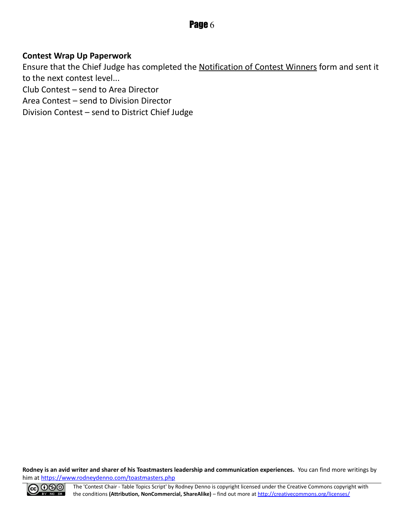#### **Contest Wrap Up Paperwork**

Ensure that the Chief Judge has completed the Notification of Contest Winners form and sent it to the next contest level...

Club Contest – send to Area Director

Area Contest – send to Division Director

Division Contest – send to District Chief Judge

**Rodney is an avid writer and sharer of his Toastmasters leadership and communication experiences.** You can find more writings by him at<https://www.rodneydenno.com/toastmasters.php>



The 'Contest Chair - Table Topics Script' by Rodney Denno is copyright licensed under the Creative Commons copyright with the conditions **(Attribution, NonCommercial, ShareAlike)** – find out more at<http://creativecommons.org/licenses/>